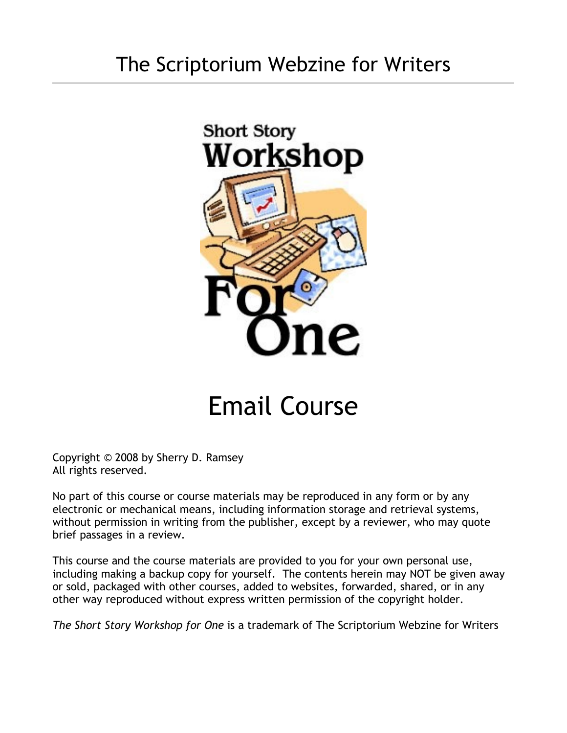### The Scriptorium Webzine for Writers



## Email Course

Copyright © 2008 by Sherry D. Ramsey All rights reserved.

No part of this course or course materials may be reproduced in any form or by any electronic or mechanical means, including information storage and retrieval systems, without permission in writing from the publisher, except by a reviewer, who may quote brief passages in a review.

This course and the course materials are provided to you for your own personal use, including making a backup copy for yourself. The contents herein may NOT be given away or sold, packaged with other courses, added to websites, forwarded, shared, or in any other way reproduced without express written permission of the copyright holder.

*The Short Story Workshop for One* is a trademark of The Scriptorium Webzine for Writers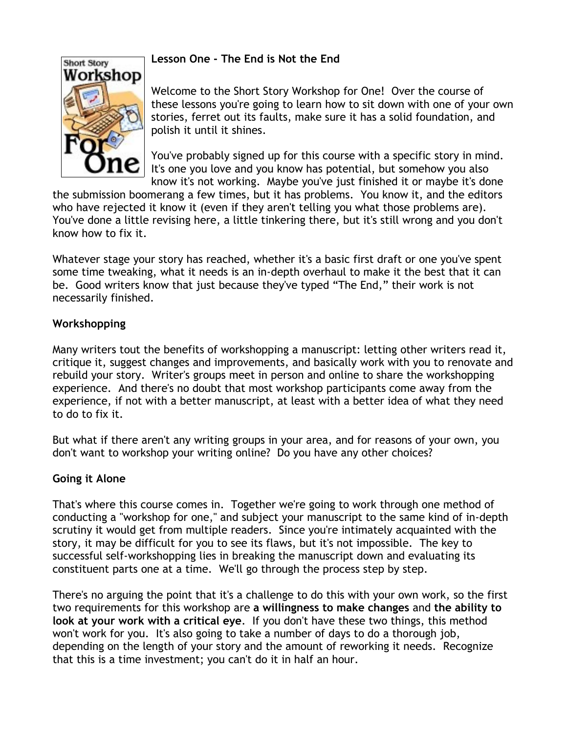# **Short Story** Workshop

#### **Lesson One - The End is Not the End**

Welcome to the Short Story Workshop for One! Over the course of these lessons you're going to learn how to sit down with one of your own stories, ferret out its faults, make sure it has a solid foundation, and polish it until it shines.

You've probably signed up for this course with a specific story in mind. It's one you love and you know has potential, but somehow you also know it's not working. Maybe you've just finished it or maybe it's done

the submission boomerang a few times, but it has problems. You know it, and the editors who have rejected it know it (even if they aren't telling you what those problems are). You've done a little revising here, a little tinkering there, but it's still wrong and you don't know how to fix it.

Whatever stage your story has reached, whether it's a basic first draft or one you've spent some time tweaking, what it needs is an in-depth overhaul to make it the best that it can be. Good writers know that just because they've typed "The End," their work is not necessarily finished.

#### **Workshopping**

Many writers tout the benefits of workshopping a manuscript: letting other writers read it, critique it, suggest changes and improvements, and basically work with you to renovate and rebuild your story. Writer's groups meet in person and online to share the workshopping experience. And there's no doubt that most workshop participants come away from the experience, if not with a better manuscript, at least with a better idea of what they need to do to fix it.

But what if there aren't any writing groups in your area, and for reasons of your own, you don't want to workshop your writing online? Do you have any other choices?

#### **Going it Alone**

That's where this course comes in. Together we're going to work through one method of conducting a "workshop for one," and subject your manuscript to the same kind of in-depth scrutiny it would get from multiple readers. Since you're intimately acquainted with the story, it may be difficult for you to see its flaws, but it's not impossible. The key to successful self-workshopping lies in breaking the manuscript down and evaluating its constituent parts one at a time. We'll go through the process step by step.

There's no arguing the point that it's a challenge to do this with your own work, so the first two requirements for this workshop are **a willingness to make changes** and **the ability to look at your work with a critical eye**. If you don't have these two things, this method won't work for you. It's also going to take a number of days to do a thorough job, depending on the length of your story and the amount of reworking it needs. Recognize that this is a time investment; you can't do it in half an hour.